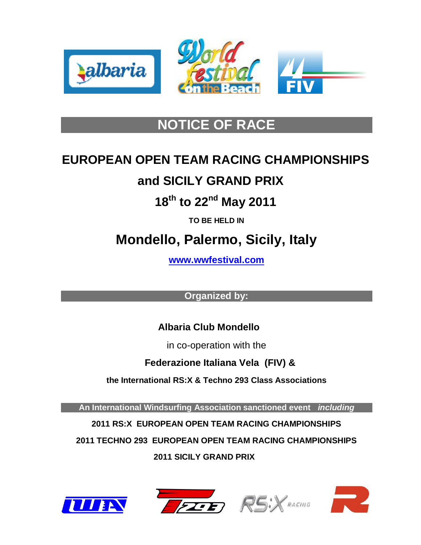





### **NOTICE OF RACE**

# **EUROPEAN OPEN TEAM RACING CHAMPIONSHIPS**

### **and SICILY GRAND PRIX**

### **18th to 22nd May 2011**

**TO BE HELD IN**

## **Mondello, Palermo, Sicily, Italy**

**[www.wwfestival.com](http://www.wwfestival.com/)**

**Organized by:**

### **Albaria Club Mondello**

in co-operation with the

 **Federazione Italiana Vela (FIV) &**

**the International RS:X & Techno 293 Class Associations** 

**An International Windsurfing Association sanctioned event** *including*

**2011 RS:X EUROPEAN OPEN TEAM RACING CHAMPIONSHIPS**

**2011 TECHNO 293 EUROPEAN OPEN TEAM RACING CHAMPIONSHIPS**

 **2011 SICILY GRAND PRIX**







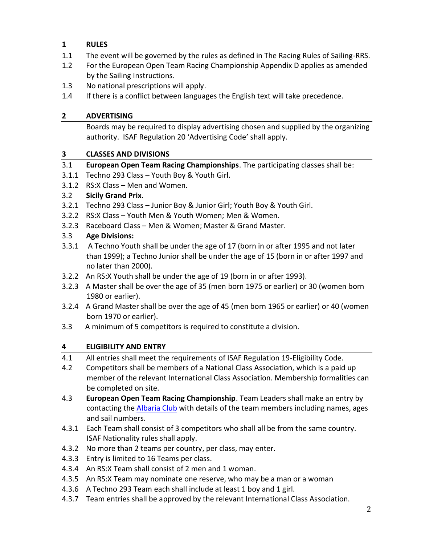#### **1 RULES**

- 1.1 The event will be governed by the rules as defined in The Racing Rules of Sailing-RRS.
- 1.2 For the European Open Team Racing Championship Appendix D applies as amended by the Sailing Instructions.
- 1.3 No national prescriptions will apply.
- 1.4 If there is a conflict between languages the English text will take precedence.

#### **2 ADVERTISING**

Boards may be required to display advertising chosen and supplied by the organizing authority. ISAF Regulation 20 'Advertising Code' shall apply.

#### **3 CLASSES AND DIVISIONS**

- 3.1 **European Open Team Racing Championships**. The participating classes shall be:
- 3.1.1 Techno 293 Class Youth Boy & Youth Girl.
- 3.1.2 RS:X Class Men and Women.

#### 3.2 **Sicily Grand Prix**.

- 3.2.1 Techno 293 Class Junior Boy & Junior Girl; Youth Boy & Youth Girl.
- 3.2.2 RS:X Class Youth Men & Youth Women; Men & Women.
- 3.2.3 Raceboard Class Men & Women; Master & Grand Master.

#### 3.3 **Age Divisions:**

- 3.3.1 A Techno Youth shall be under the age of 17 (born in or after 1995 and not later than 1999); a Techno Junior shall be under the age of 15 (born in or after 1997 and no later than 2000).
- 3.2.2 An RS:X Youth shall be under the age of 19 (born in or after 1993).
- 3.2.3 A Master shall be over the age of 35 (men born 1975 or earlier) or 30 (women born 1980 or earlier).
- 3.2.4 A Grand Master shall be over the age of 45 (men born 1965 or earlier) or 40 (women born 1970 or earlier).
- 3.3 A minimum of 5 competitors is required to constitute a division.

#### **4 ELIGIBILITY AND ENTRY**

- 4.1 All entries shall meet the requirements of ISAF Regulation 19-Eligibility Code.
- 4.2 Competitors shall be members of a National Class Association, which is a paid up member of the relevant International Class Association. Membership formalities can be completed on site.
- 4.3 **European Open Team Racing Championship**. Team Leaders shall make an entry by contacting the [Albaria Club](mailto:albaria@albaria.com) with details of the team members including names, ages and sail numbers.
- 4.3.1 Each Team shall consist of 3 competitors who shall all be from the same country. ISAF Nationality rules shall apply.
- 4.3.2 No more than 2 teams per country, per class, may enter.
- 4.3.3 Entry is limited to 16 Teams per class.
- 4.3.4 An RS:X Team shall consist of 2 men and 1 woman.
- 4.3.5 An RS:X Team may nominate one reserve, who may be a man or a woman
- 4.3.6 A Techno 293 Team each shall include at least 1 boy and 1 girl.
- 4.3.7 Team entries shall be approved by the relevant International Class Association.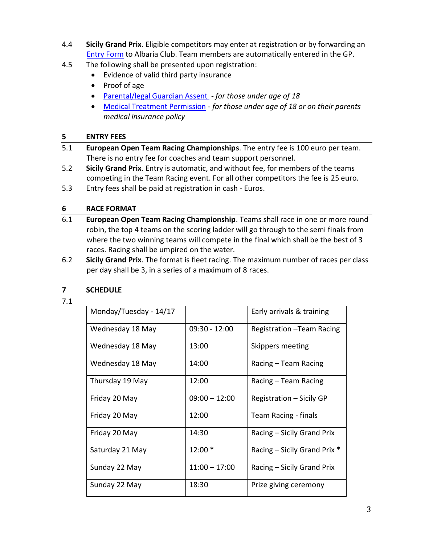- 4.4 **Sicily Grand Prix**. Eligible competitors may enter at registration or by forwarding an [Entry Form](http://www.internationalwindsurfing.com/userfiles/documents/Sicily_GP_2011_entry_form.pdf) to Albaria Club. Team members are automatically entered in the GP.
- 4.5 The following shall be presented upon registration:
	- Evidence of valid third party insurance
	- Proof of age
	- [Parental/legal Guardian Assent](http://www.internationalwindsurfing.com/userfiles/documents/2011_ETRC_Form_2.pdf)  *for those under age of 18*
	- [Medical Treatment Permission](http://www.internationalwindsurfing.com/userfiles/documents/2011_ETRC_Form_3.pdf) *- for those under age of 18 or on their parents medical insurance policy*

#### **5 ENTRY FEES**

- 5.1 **European Open Team Racing Championships**. The entry fee is 100 euro per team. There is no entry fee for coaches and team support personnel.
- 5.2 **Sicily Grand Prix**. Entry is automatic, and without fee, for members of the teams competing in the Team Racing event. For all other competitors the fee is 25 euro.
- 5.3 Entry fees shall be paid at registration in cash Euros.

#### **6 RACE FORMAT**

- 6.1 **European Open Team Racing Championship**. Teams shall race in one or more round robin, the top 4 teams on the scoring ladder will go through to the semi finals from where the two winning teams will compete in the final which shall be the best of 3 races. Racing shall be umpired on the water.
- 6.2 **Sicily Grand Prix**. The format is fleet racing. The maximum number of races per class per day shall be 3, in a series of a maximum of 8 races.

#### **7 SCHEDULE**

#### 7.1

| Monday/Tuesday - 14/17 |                 | Early arrivals & training    |
|------------------------|-----------------|------------------------------|
| Wednesday 18 May       | $09:30 - 12:00$ | Registration - Team Racing   |
| Wednesday 18 May       | 13:00           | Skippers meeting             |
| Wednesday 18 May       | 14:00           | Racing – Team Racing         |
| Thursday 19 May        | 12:00           | Racing – Team Racing         |
| Friday 20 May          | $09:00 - 12:00$ | Registration - Sicily GP     |
| Friday 20 May          | 12:00           | Team Racing - finals         |
| Friday 20 May          | 14:30           | Racing - Sicily Grand Prix   |
| Saturday 21 May        | 12:00 *         | Racing – Sicily Grand Prix * |
| Sunday 22 May          | $11:00 - 17:00$ | Racing – Sicily Grand Prix   |
| Sunday 22 May          | 18:30           | Prize giving ceremony        |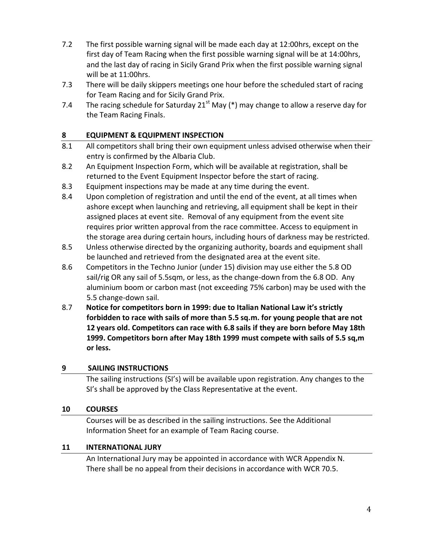- 7.2 The first possible warning signal will be made each day at 12:00hrs, except on the first day of Team Racing when the first possible warning signal will be at 14:00hrs, and the last day of racing in Sicily Grand Prix when the first possible warning signal will be at 11:00hrs.
- 7.3 There will be daily skippers meetings one hour before the scheduled start of racing for Team Racing and for Sicily Grand Prix.
- 7.4 The racing schedule for Saturday 21<sup>st</sup> May (\*) may change to allow a reserve day for the Team Racing Finals.

#### **8 EQUIPMENT & EQUIPMENT INSPECTION**

- 8.1 All competitors shall bring their own equipment unless advised otherwise when their entry is confirmed by the Albaria Club.
- 8.2 An Equipment Inspection Form, which will be available at registration, shall be returned to the Event Equipment Inspector before the start of racing.
- 8.3 Equipment inspections may be made at any time during the event.
- 8.4 Upon completion of registration and until the end of the event, at all times when ashore except when launching and retrieving, all equipment shall be kept in their assigned places at event site. Removal of any equipment from the event site requires prior written approval from the race committee. Access to equipment in the storage area during certain hours, including hours of darkness may be restricted.
- 8.5 Unless otherwise directed by the organizing authority, boards and equipment shall be launched and retrieved from the designated area at the event site.
- 8.6 Competitors in the Techno Junior (under 15) division may use either the 5.8 OD sail/rig OR any sail of 5.5sqm, or less, as the change-down from the 6.8 OD. Any aluminium boom or carbon mast (not exceeding 75% carbon) may be used with the 5.5 change-down sail.
- 8.7 **Notice for competitors born in 1999: due to Italian National Law it's strictly forbidden to race with sails of more than 5.5 sq.m. for young people that are not 12 years old. Competitors can race with 6.8 sails if they are born before May 18th 1999. Competitors born after May 18th 1999 must compete with sails of 5.5 sq,m or less.**

#### **9 SAILING INSTRUCTIONS**

The sailing instructions (SI's) will be available upon registration. Any changes to the SI's shall be approved by the Class Representative at the event.

#### **10 COURSES**

Courses will be as described in the sailing instructions. See the Additional Information Sheet for an example of Team Racing course.

#### **11 INTERNATIONAL JURY**

An International Jury may be appointed in accordance with WCR Appendix N. There shall be no appeal from their decisions in accordance with WCR 70.5.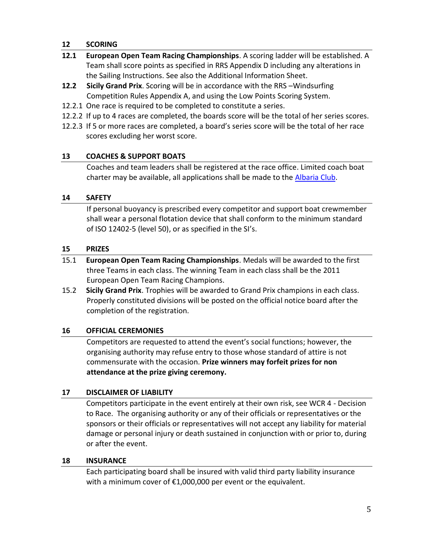#### **12 SCORING**

- **12.1 European Open Team Racing Championships**. A scoring ladder will be established. A Team shall score points as specified in RRS Appendix D including any alterations in the Sailing Instructions. See also the Additional Information Sheet.
- **12.2 Sicily Grand Prix**. Scoring will be in accordance with the RRS –Windsurfing Competition Rules Appendix A, and using the Low Points Scoring System.
- 12.2.1 One race is required to be completed to constitute a series.
- 12.2.2 If up to 4 races are completed, the boards score will be the total of her series scores.
- 12.2.3 If 5 or more races are completed, a board's series score will be the total of her race scores excluding her worst score.

#### **13 COACHES & SUPPORT BOATS**

Coaches and team leaders shall be registered at the race office. Limited coach boat charter may be available, all applications shall be made to the [Albaria Club.](mailto:albaria@albaria.com)

#### **14 SAFETY**

If personal buoyancy is prescribed every competitor and support boat crewmember shall wear a personal flotation device that shall conform to the minimum standard of ISO 12402-5 (level 50), or as specified in the SI's.

#### **15 PRIZES**

- 15.1 **European Open Team Racing Championships**. Medals will be awarded to the first three Teams in each class. The winning Team in each class shall be the 2011 European Open Team Racing Champions.
- 15.2 **Sicily Grand Prix**. Trophies will be awarded to Grand Prix champions in each class. Properly constituted divisions will be posted on the official notice board after the completion of the registration.

#### **16 OFFICIAL CEREMONIES**

Competitors are requested to attend the event's social functions; however, the organising authority may refuse entry to those whose standard of attire is not commensurate with the occasion. **Prize winners may forfeit prizes for non attendance at the prize giving ceremony.**

#### **17 DISCLAIMER OF LIABILITY**

Competitors participate in the event entirely at their own risk, see WCR 4 - Decision to Race. The organising authority or any of their officials or representatives or the sponsors or their officials or representatives will not accept any liability for material damage or personal injury or death sustained in conjunction with or prior to, during or after the event.

#### **18 INSURANCE**

Each participating board shall be insured with valid third party liability insurance with a minimum cover of €1,000,000 per event or the equivalent.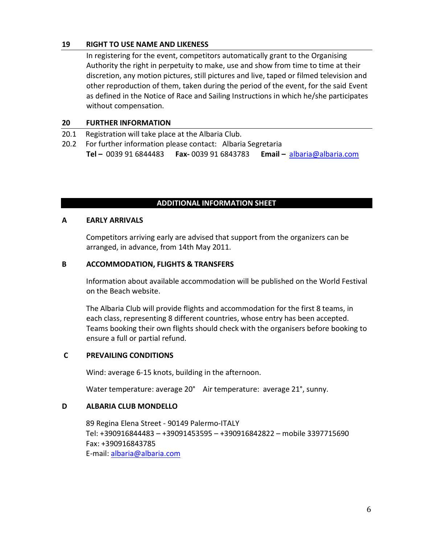#### **19 RIGHT TO USE NAME AND LIKENESS**

In registering for the event, competitors automatically grant to the Organising Authority the right in perpetuity to make, use and show from time to time at their discretion, any motion pictures, still pictures and live, taped or filmed television and other reproduction of them, taken during the period of the event, for the said Event as defined in the Notice of Race and Sailing Instructions in which he/she participates without compensation.

#### **20 FURTHER INFORMATION**

- 20.1 Registration will take place at the Albaria Club.
- 20.2 For further information please contact: Albaria Segretaria **Tel –** 0039 91 6844483 **Fax-** 0039 91 6843783 **Email –** [albaria@albaria.com](mailto:albaria@albaria.com)

#### **ADDITIONAL INFORMATION SHEET**

#### **A EARLY ARRIVALS**

Competitors arriving early are advised that support from the organizers can be arranged, in advance, from 14th May 2011.

#### **B ACCOMMODATION, FLIGHTS & TRANSFERS**

Information about available accommodation will be published on the World Festival on the Beach website.

The Albaria Club will provide flights and accommodation for the first 8 teams, in each class, representing 8 different countries, whose entry has been accepted. Teams booking their own flights should check with the organisers before booking to ensure a full or partial refund.

#### **C PREVAILING CONDITIONS**

Wind: average 6-15 knots, building in the afternoon.

Water temperature: average 20° Air temperature: average 21°, sunny.

#### **D ALBARIA CLUB MONDELLO**

89 Regina Elena Street - 90149 Palermo-ITALY Tel: +390916844483 – +39091453595 – +390916842822 – mobile 3397715690 Fax: +390916843785 E-mail: [albaria@albaria.com](mailto:albaria@albaria.com)